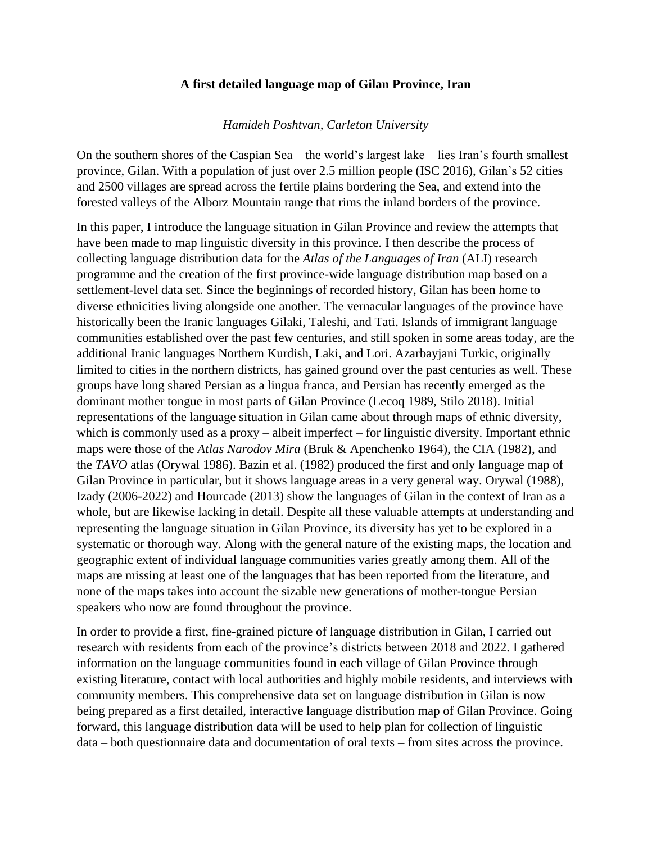## **A first detailed language map of Gilan Province, Iran**

## *Hamideh Poshtvan, Carleton University*

On the southern shores of the Caspian Sea – the world's largest lake – lies Iran's fourth smallest province, Gilan. With a population of just over 2.5 million people (ISC 2016), Gilan's 52 cities and 2500 villages are spread across the fertile plains bordering the Sea, and extend into the forested valleys of the Alborz Mountain range that rims the inland borders of the province.

In this paper, I introduce the language situation in Gilan Province and review the attempts that have been made to map linguistic diversity in this province. I then describe the process of collecting language distribution data for the *Atlas of the Languages of Iran* (ALI) research programme and the creation of the first province-wide language distribution map based on a settlement-level data set. Since the beginnings of recorded history, Gilan has been home to diverse ethnicities living alongside one another. The vernacular languages of the province have historically been the Iranic languages Gilaki, Taleshi, and Tati. Islands of immigrant language communities established over the past few centuries, and still spoken in some areas today, are the additional Iranic languages Northern Kurdish, Laki, and Lori. Azarbayjani Turkic, originally limited to cities in the northern districts, has gained ground over the past centuries as well. These groups have long shared Persian as a lingua franca, and Persian has recently emerged as the dominant mother tongue in most parts of Gilan Province (Lecoq 1989, Stilo 2018). Initial representations of the language situation in Gilan came about through maps of ethnic diversity, which is commonly used as a proxy – albeit imperfect – for linguistic diversity. Important ethnic maps were those of the *Atlas Narodov Mira* (Bruk & Apenchenko 1964), the CIA (1982), and the *TAVO* atlas (Orywal 1986). Bazin et al. (1982) produced the first and only language map of Gilan Province in particular, but it shows language areas in a very general way. Orywal (1988), Izady (2006-2022) and Hourcade (2013) show the languages of Gilan in the context of Iran as a whole, but are likewise lacking in detail. Despite all these valuable attempts at understanding and representing the language situation in Gilan Province, its diversity has yet to be explored in a systematic or thorough way. Along with the general nature of the existing maps, the location and geographic extent of individual language communities varies greatly among them. All of the maps are missing at least one of the languages that has been reported from the literature, and none of the maps takes into account the sizable new generations of mother-tongue Persian speakers who now are found throughout the province.

In order to provide a first, fine-grained picture of language distribution in Gilan, I carried out research with residents from each of the province's districts between 2018 and 2022. I gathered information on the language communities found in each village of Gilan Province through existing literature, contact with local authorities and highly mobile residents, and interviews with community members. This comprehensive data set on language distribution in Gilan is now being prepared as a first detailed, interactive language distribution map of Gilan Province. Going forward, this language distribution data will be used to help plan for collection of linguistic data – both questionnaire data and documentation of oral texts – from sites across the province.